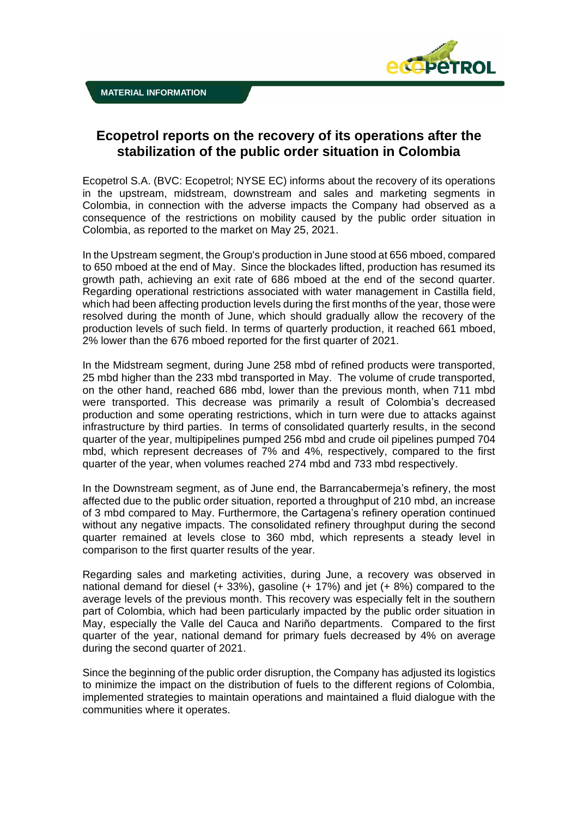

## **Ecopetrol reports on the recovery of its operations after the stabilization of the public order situation in Colombia**

Ecopetrol S.A. (BVC: Ecopetrol; NYSE EC) informs about the recovery of its operations in the upstream, midstream, downstream and sales and marketing segments in Colombia, in connection with the adverse impacts the Company had observed as a consequence of the restrictions on mobility caused by the public order situation in Colombia, as reported to the market on May 25, 2021.

In the Upstream segment, the Group's production in June stood at 656 mboed, compared to 650 mboed at the end of May. Since the blockades lifted, production has resumed its growth path, achieving an exit rate of 686 mboed at the end of the second quarter. Regarding operational restrictions associated with water management in Castilla field, which had been affecting production levels during the first months of the year, those were resolved during the month of June, which should gradually allow the recovery of the production levels of such field. In terms of quarterly production, it reached 661 mboed, 2% lower than the 676 mboed reported for the first quarter of 2021.

In the Midstream segment, during June 258 mbd of refined products were transported, 25 mbd higher than the 233 mbd transported in May. The volume of crude transported, on the other hand, reached 686 mbd, lower than the previous month, when 711 mbd were transported. This decrease was primarily a result of Colombia's decreased production and some operating restrictions, which in turn were due to attacks against infrastructure by third parties. In terms of consolidated quarterly results, in the second quarter of the year, multipipelines pumped 256 mbd and crude oil pipelines pumped 704 mbd, which represent decreases of 7% and 4%, respectively, compared to the first quarter of the year, when volumes reached 274 mbd and 733 mbd respectively.

In the Downstream segment, as of June end, the Barrancabermeja's refinery, the most affected due to the public order situation, reported a throughput of 210 mbd, an increase of 3 mbd compared to May. Furthermore, the Cartagena's refinery operation continued without any negative impacts. The consolidated refinery throughput during the second quarter remained at levels close to 360 mbd, which represents a steady level in comparison to the first quarter results of the year.

Regarding sales and marketing activities, during June, a recovery was observed in national demand for diesel (+ 33%), gasoline (+ 17%) and jet (+ 8%) compared to the average levels of the previous month. This recovery was especially felt in the southern part of Colombia, which had been particularly impacted by the public order situation in May, especially the Valle del Cauca and Nariño departments. Compared to the first quarter of the year, national demand for primary fuels decreased by 4% on average during the second quarter of 2021.

Since the beginning of the public order disruption, the Company has adjusted its logistics to minimize the impact on the distribution of fuels to the different regions of Colombia, implemented strategies to maintain operations and maintained a fluid dialogue with the communities where it operates.